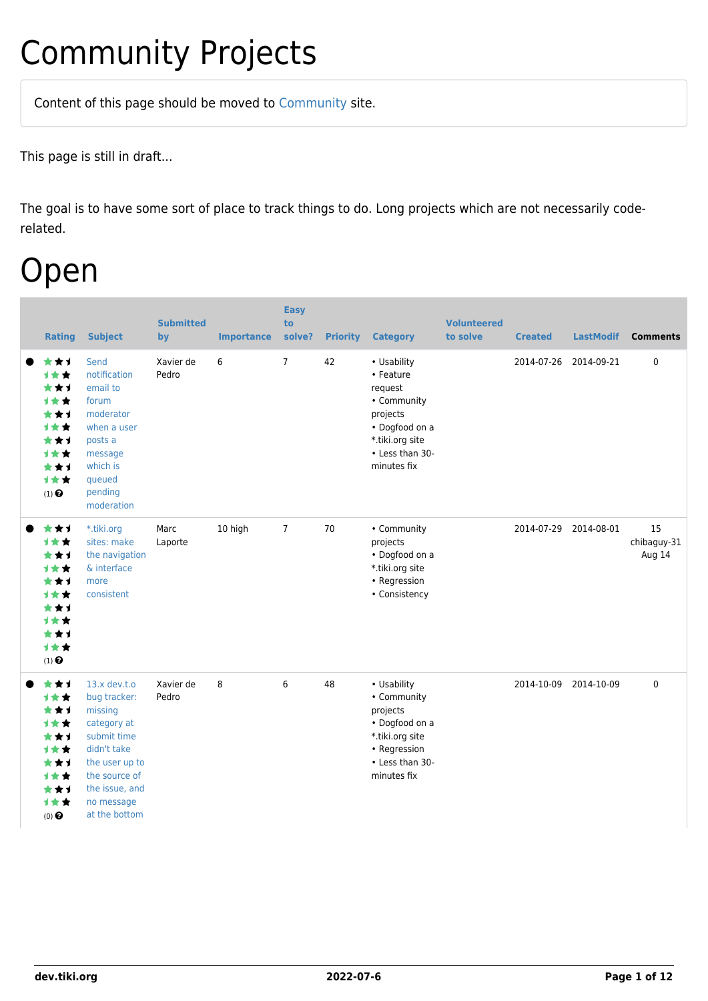# Community Projects

Content of this page should be [moved](https://dev.tiki.org/tiki-editpage.php?page=moved) to [Community](http://tiki.org/Community) site.

This page is still in draft...

The goal is to have some sort of place to track things to do. Long projects which are not necessarily coderelated.

### Open

| <b>Rating</b>                                                                                                           | <b>Subject</b>                                                                                                                                                             | <b>Submitted</b><br>by | <b>Importance</b> | <b>Easy</b><br>to<br>solve? | <b>Priority</b> | <b>Category</b>                                                                                                                       | <b>Volunteered</b><br>to solve | <b>Created</b> | <b>LastModif</b>      | <b>Comments</b>             |
|-------------------------------------------------------------------------------------------------------------------------|----------------------------------------------------------------------------------------------------------------------------------------------------------------------------|------------------------|-------------------|-----------------------------|-----------------|---------------------------------------------------------------------------------------------------------------------------------------|--------------------------------|----------------|-----------------------|-----------------------------|
| ***<br>1★★<br>***<br>1★★<br>***<br>1★★<br>***<br>1★★<br>***<br>1★★<br>$(1)$ <sup><math>\odot</math></sup>               | Send<br>notification<br>email to<br>forum<br>moderator<br>when a user<br>posts a<br>message<br>which is<br>queued<br>pending<br>moderation                                 | Xavier de<br>Pedro     | 6                 | $7^{\circ}$                 | 42              | • Usability<br>• Feature<br>request<br>• Community<br>projects<br>• Dogfood on a<br>*.tiki.org site<br>• Less than 30-<br>minutes fix |                                | 2014-07-26     | 2014-09-21            | $\mathbf 0$                 |
| ***<br><b>1**</b><br>***<br>1★★<br>***<br>1★★<br>***<br>计女女<br>***<br><b>1**</b><br>$(1)$ <sup><math>\odot</math></sup> | *.tiki.org<br>sites: make<br>the navigation<br>& interface<br>more<br>consistent                                                                                           | Marc<br>Laporte        | 10 high           | $\overline{7}$              | 70              | • Community<br>projects<br>• Dogfood on a<br>*.tiki.org site<br>• Regression<br>• Consistency                                         |                                |                | 2014-07-29 2014-08-01 | 15<br>chibaguy-31<br>Aug 14 |
| ***<br>计女女<br>***<br><b>1**</b><br>***<br>1★★<br>***<br>1★★<br>***<br>1★★<br>$(0)$ $\odot$                              | $13.x$ dev.t.o<br>bug tracker:<br>missing<br>category at<br>submit time<br>didn't take<br>the user up to<br>the source of<br>the issue, and<br>no message<br>at the bottom | Xavier de<br>Pedro     | 8                 | 6                           | 48              | • Usability<br>• Community<br>projects<br>• Dogfood on a<br>*.tiki.org site<br>• Regression<br>• Less than 30-<br>minutes fix         |                                | 2014-10-09     | 2014-10-09            | $\mathbf 0$                 |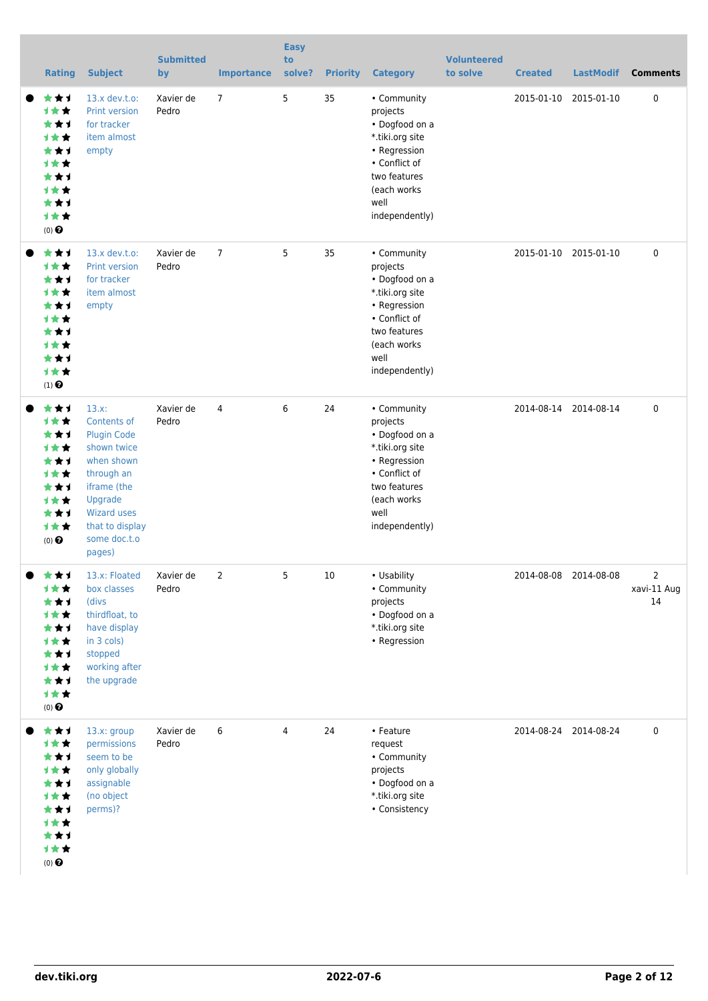|                                                                                                                                | <b>Rating</b> | <b>Subject</b>                                                                                                                                                                        | <b>Submitted</b><br>by | <b>Importance</b> | <b>Easy</b><br>to<br>solve? | <b>Priority</b> | <b>Category</b>                                                                                                                                        | <b>Volunteered</b><br>to solve | <b>Created</b>        | <b>LastModif</b>      | <b>Comments</b>        |
|--------------------------------------------------------------------------------------------------------------------------------|---------------|---------------------------------------------------------------------------------------------------------------------------------------------------------------------------------------|------------------------|-------------------|-----------------------------|-----------------|--------------------------------------------------------------------------------------------------------------------------------------------------------|--------------------------------|-----------------------|-----------------------|------------------------|
| **1<br><b>1**</b><br>***<br><b>1**</b><br>***<br><b>1**</b><br>***<br><b>1**</b><br>***<br><b>1**</b><br>(0)                   |               | $13.x$ dev.t.o:<br>Print version<br>for tracker<br>item almost<br>empty                                                                                                               | Xavier de<br>Pedro     | $\overline{7}$    | 5                           | 35              | • Community<br>projects<br>• Dogfood on a<br>*.tiki.org site<br>• Regression<br>• Conflict of<br>two features<br>(each works<br>well<br>independently) |                                | 2015-01-10            | 2015-01-10            | 0                      |
| **1<br><b>1**</b><br>**1<br><b>1**</b><br>**1<br><b>1**</b><br>***<br>1★★<br>***<br>1★★<br>$(1)$ <sup><math>\odot</math></sup> |               | $13.x$ dev.t.o:<br>Print version<br>for tracker<br>item almost<br>empty                                                                                                               | Xavier de<br>Pedro     | $\overline{7}$    | 5                           | 35              | • Community<br>projects<br>• Dogfood on a<br>*.tiki.org site<br>• Regression<br>• Conflict of<br>two features<br>(each works<br>well<br>independently) |                                | 2015-01-10 2015-01-10 |                       | 0                      |
| ***<br>1★★<br>***<br><b>1**</b><br>**1<br><b>1**</b><br>**1<br><b>1**</b><br>***<br><b>1**</b><br>$(0)$ $\odot$                |               | $13.x$ :<br>Contents of<br><b>Plugin Code</b><br>shown twice<br>when shown<br>through an<br>iframe (the<br>Upgrade<br><b>Wizard uses</b><br>that to display<br>some doc.t.o<br>pages) | Xavier de<br>Pedro     | 4                 | 6                           | 24              | • Community<br>projects<br>• Dogfood on a<br>*.tiki.org site<br>• Regression<br>• Conflict of<br>two features<br>(each works<br>well<br>independently) |                                |                       | 2014-08-14 2014-08-14 | $\pmb{0}$              |
| ***<br>计女女<br>***<br>计女女<br>***<br>计女女<br>★★1<br><b>1**</b><br>***<br>1★★<br>$(0)$ $\odot$                                     |               | 13.x: Floated<br>box classes<br>(divs<br>thirdfloat, to<br>have display<br>in 3 cols)<br>stopped<br>working after<br>the upgrade                                                      | Xavier de<br>Pedro     | 2                 | 5                           | 10              | • Usability<br>• Community<br>projects<br>• Dogfood on a<br>*.tiki.org site<br>• Regression                                                            |                                | 2014-08-08 2014-08-08 |                       | 2<br>xavi-11 Aug<br>14 |
| ★★1<br>计女女<br>***<br>计女女<br>***<br><b>1**</b><br>★★1<br><b>1**</b><br>***<br>计女女<br>$(0)$ $\odot$                              |               | 13.x: group<br>permissions<br>seem to be<br>only globally<br>assignable<br>(no object<br>perms)?                                                                                      | Xavier de<br>Pedro     | 6                 | 4                           | 24              | • Feature<br>request<br>• Community<br>projects<br>• Dogfood on a<br>*.tiki.org site<br>• Consistency                                                  |                                |                       | 2014-08-24 2014-08-24 | 0                      |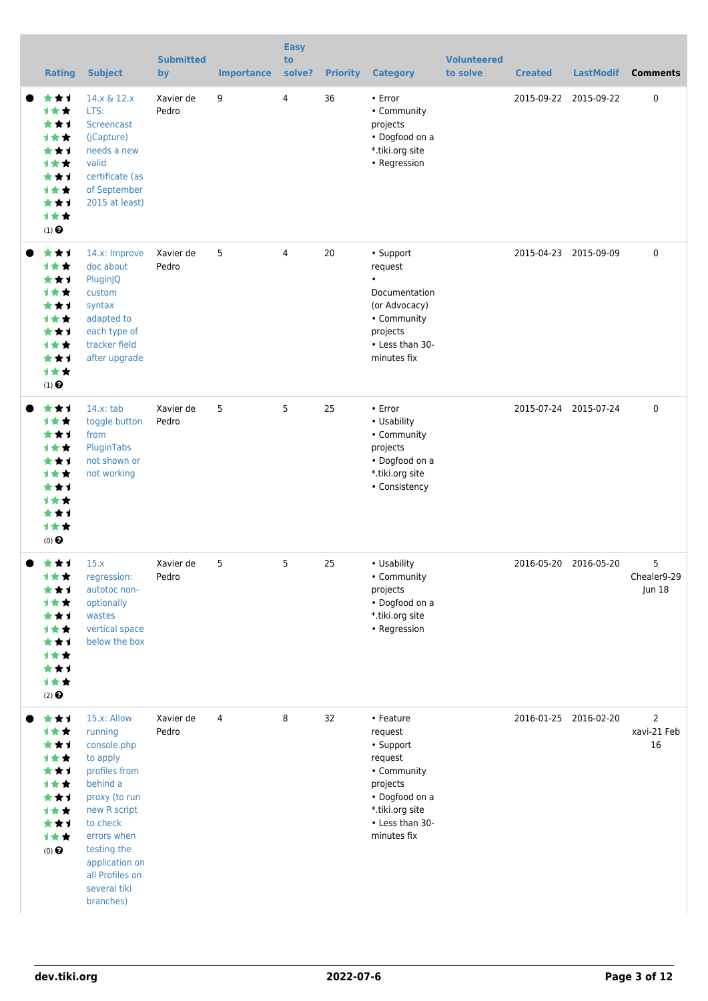| <b>Rating</b>                                                                                     | <b>Subject</b>                                                                                                                                                                                                              | <b>Submitted</b><br>by | <b>Importance</b> | <b>Easy</b><br>to<br>solve? | <b>Priority</b> | <b>Category</b>                                                                                                                                | <b>Volunteered</b><br>to solve | <b>Created</b>        | <b>LastModif</b>      | <b>Comments</b>                         |
|---------------------------------------------------------------------------------------------------|-----------------------------------------------------------------------------------------------------------------------------------------------------------------------------------------------------------------------------|------------------------|-------------------|-----------------------------|-----------------|------------------------------------------------------------------------------------------------------------------------------------------------|--------------------------------|-----------------------|-----------------------|-----------------------------------------|
| **1<br>***<br>***<br>计女女<br>**1<br>计女女<br>***<br><b>1**</b><br>**1<br>1★★<br>$(1)$ $\odot$        | 14.x & 12.x<br>LTS:<br>Screencast<br>(jCapture)<br>needs a new<br>valid<br>certificate (as<br>of September<br>2015 at least)                                                                                                | Xavier de<br>Pedro     | 9                 | 4                           | 36              | • Error<br>• Community<br>projects<br>• Dogfood on a<br>*.tiki.org site<br>• Regression                                                        |                                | 2015-09-22 2015-09-22 |                       | $\pmb{0}$                               |
| ★★1<br>计女女<br>***<br><b>1**</b><br>***<br>计女女<br>**1<br><b>1**</b><br>***<br>计女女<br>$(1)$ $\odot$ | 14.x: Improve<br>doc about<br>PluginJQ<br>custom<br>syntax<br>adapted to<br>each type of<br>tracker field<br>after upgrade                                                                                                  | Xavier de<br>Pedro     | 5                 | 4                           | 20              | • Support<br>request<br>$\bullet$<br>Documentation<br>(or Advocacy)<br>• Community<br>projects<br>• Less than 30-<br>minutes fix               |                                |                       | 2015-04-23 2015-09-09 | $\pmb{0}$                               |
| **1<br>计女女<br>***<br>计女女<br>**1<br><b>1**</b><br>**1<br><b>1**</b><br>***<br>计女女<br>$(0)$ $\odot$ | $14.x$ : tab<br>toggle button<br>from<br>PluginTabs<br>not shown or<br>not working                                                                                                                                          | Xavier de<br>Pedro     | 5                 | 5                           | 25              | $\cdot$ Error<br>• Usability<br>• Community<br>projects<br>• Dogfood on a<br>*.tiki.org site<br>• Consistency                                  |                                | 2015-07-24 2015-07-24 |                       | $\pmb{0}$                               |
| ★★1<br>计女女<br>***<br>计女女<br>***<br>计女女<br>★★1<br>计女女<br>***<br>计女女<br>$(2)$ $\odot$               | 15.x<br>regression:<br>autotoc non-<br>optionally<br>wastes<br>vertical space<br>below the box                                                                                                                              | Xavier de<br>Pedro     | 5                 | 5                           | 25              | • Usability<br>• Community<br>projects<br>• Dogfood on a<br>*.tiki.org site<br>• Regression                                                    |                                | 2016-05-20 2016-05-20 |                       | 5<br>Chealer9-29<br>Jun 18              |
| ***<br>计女女<br>***<br>计女女<br>★★1<br>计女女<br>***<br>计女女<br>★★1<br>计女女<br>$(0)$ $\bigodot$            | 15.x: Allow<br>running<br>console.php<br>to apply<br>profiles from<br>behind a<br>proxy (to run<br>new R script<br>to check<br>errors when<br>testing the<br>application on<br>all Profiles on<br>several tiki<br>branches) | Xavier de<br>Pedro     | 4                 | 8                           | 32              | • Feature<br>request<br>• Support<br>request<br>• Community<br>projects<br>• Dogfood on a<br>*.tiki.org site<br>• Less than 30-<br>minutes fix |                                | 2016-01-25 2016-02-20 |                       | $\overline{2}$<br>xavi-21 Feb<br>$16\,$ |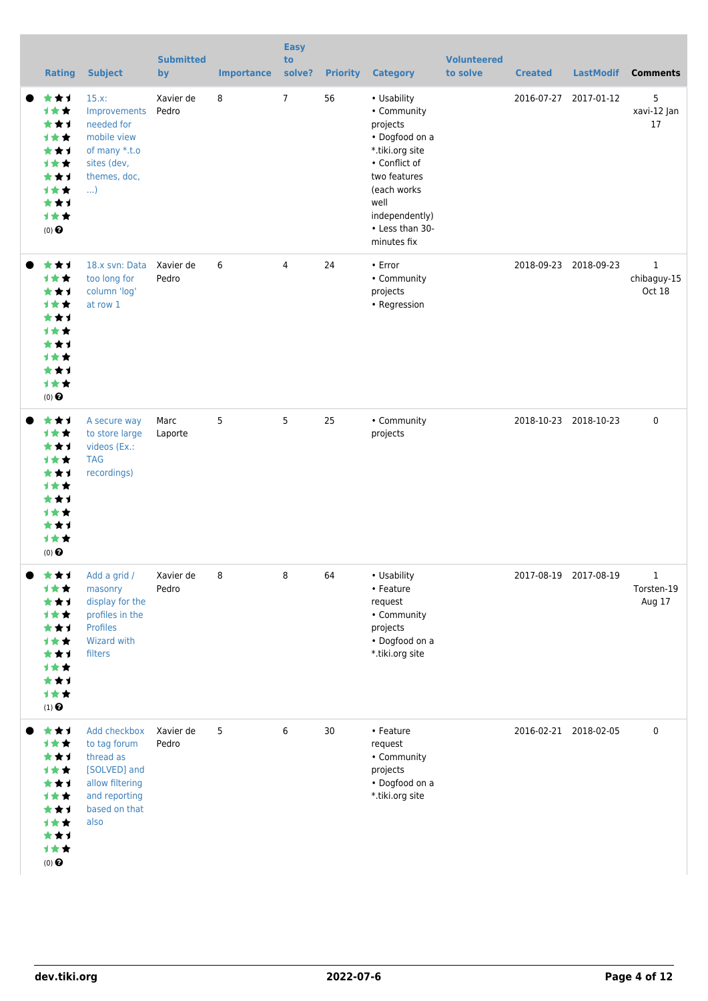| <b>Rating</b>                                                                                                   | <b>Subject</b>                                                                                                         | <b>Submitted</b><br>by | <b>Importance</b> | <b>Easy</b><br>to<br>solve? |    | <b>Priority Category</b>                                                                                                                                                                | <b>Volunteered</b><br>to solve | <b>Created</b>        | <b>LastModif</b>      | <b>Comments</b>                       |
|-----------------------------------------------------------------------------------------------------------------|------------------------------------------------------------------------------------------------------------------------|------------------------|-------------------|-----------------------------|----|-----------------------------------------------------------------------------------------------------------------------------------------------------------------------------------------|--------------------------------|-----------------------|-----------------------|---------------------------------------|
| ***<br>1★★<br>***<br><b>1**</b><br>***<br><b>1**</b><br>***<br><b>1**</b><br>***<br>计女女<br>$(0)$ $\odot$        | 15.x:<br>Improvements<br>needed for<br>mobile view<br>of many *.t.o<br>sites (dev,<br>themes, doc,<br>$\ldots$         | Xavier de<br>Pedro     | 8                 | $7\overline{ }$             | 56 | • Usability<br>• Community<br>projects<br>• Dogfood on a<br>*.tiki.org site<br>• Conflict of<br>two features<br>(each works<br>well<br>independently)<br>• Less than 30-<br>minutes fix |                                | 2016-07-27            | 2017-01-12            | 5<br>xavi-12 Jan<br>17                |
| ***<br>1★★<br>***<br><b>1**</b><br>**1<br><b>1**</b><br>***<br><b>1**</b><br>***<br>计女女<br>$(0)$ $\odot$        | 18.x svn: Data Xavier de<br>too long for<br>column 'log'<br>at row 1                                                   | Pedro                  | 6                 | 4                           | 24 | • Error<br>• Community<br>projects<br>• Regression                                                                                                                                      |                                | 2018-09-23 2018-09-23 |                       | $\mathbf{1}$<br>chibaguy-15<br>Oct 18 |
| ***<br>计女女<br>***<br><b>1**</b><br>***<br><b>1**</b><br>***<br><b>1**</b><br>***<br><b>1**</b><br>$(0)$ $\odot$ | A secure way<br>to store large<br>videos (Ex.:<br><b>TAG</b><br>recordings)                                            | Marc<br>Laporte        | 5                 | 5                           | 25 | • Community<br>projects                                                                                                                                                                 |                                |                       | 2018-10-23 2018-10-23 | $\mathbf 0$                           |
| ***<br><b>1**</b><br>***<br>1★★<br>***<br>计女女<br>***<br>计女女<br>***<br>计女女<br>$(1)$<br>$\pmb{\Theta}$            | Add a grid /<br>masonry<br>display for the<br>profiles in the<br><b>Profiles</b><br>Wizard with<br>filters             | Xavier de<br>Pedro     | 8                 | 8                           | 64 | • Usability<br>• Feature<br>request<br>• Community<br>projects<br>• Dogfood on a<br>*.tiki.org site                                                                                     |                                | 2017-08-19 2017-08-19 |                       | $\mathbf 1$<br>Torsten-19<br>Aug 17   |
| ***<br>计女女<br>***<br>计女女<br>***<br>计女女<br>***<br>计女女<br>***<br>计女女<br>$(0)$ $\odot$                             | Add checkbox<br>to tag forum<br>thread as<br>[SOLVED] and<br>allow filtering<br>and reporting<br>based on that<br>also | Xavier de<br>Pedro     | 5                 | 6                           | 30 | • Feature<br>request<br>• Community<br>projects<br>• Dogfood on a<br>*.tiki.org site                                                                                                    |                                | 2016-02-21 2018-02-05 |                       | 0                                     |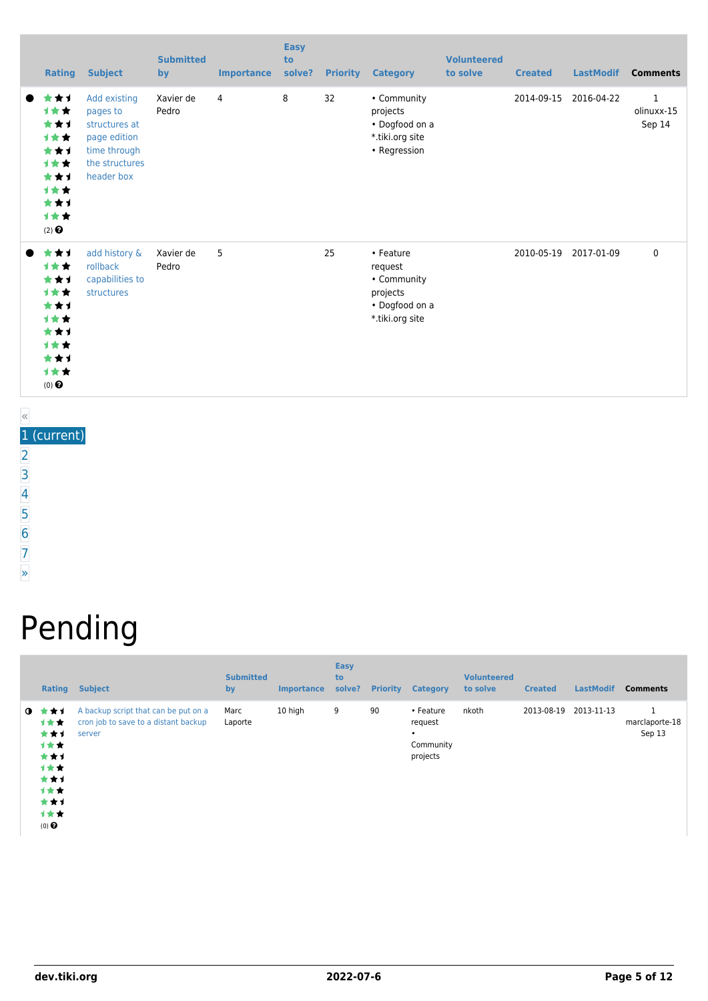| <b>Rating</b>                                                                              | <b>Subject</b>                                                                                            | <b>Submitted</b><br>by | <b>Importance</b> | <b>Easy</b><br>to<br>solve? | <b>Priority</b> | <b>Category</b>                                                                      | <b>Volunteered</b><br>to solve | <b>Created</b> | <b>LastModif</b> | <b>Comments</b>                      |
|--------------------------------------------------------------------------------------------|-----------------------------------------------------------------------------------------------------------|------------------------|-------------------|-----------------------------|-----------------|--------------------------------------------------------------------------------------|--------------------------------|----------------|------------------|--------------------------------------|
| ***<br>1★★<br>***<br>计女女<br>***<br>1★★<br>***<br>1★★<br>***<br>1★★<br>$(2)$ $\odot$        | Add existing<br>pages to<br>structures at<br>page edition<br>time through<br>the structures<br>header box | Xavier de<br>Pedro     | 4                 | 8                           | 32              | • Community<br>projects<br>• Dogfood on a<br>*.tiki.org site<br>• Regression         |                                | 2014-09-15     | 2016-04-22       | $\mathbf{1}$<br>olinuxx-15<br>Sep 14 |
| ***<br>计女女<br>***<br>1★★<br>***<br><b>1**</b><br>***<br>1★★<br>***<br>1★★<br>$(0)$ $\odot$ | add history &<br>rollback<br>capabilities to<br>structures                                                | Xavier de<br>Pedro     | 5                 |                             | 25              | • Feature<br>request<br>• Community<br>projects<br>• Dogfood on a<br>*.tiki.org site |                                | 2010-05-19     | 2017-01-09       | $\mathbf 0$                          |

1 (current) [2](https://dev.tiki.org/tiki-print.php?tr_sort_mode1=f_26_asc&page=Community+Projects&tr_offset1=20) [3](https://dev.tiki.org/tiki-print.php?tr_sort_mode1=f_26_asc&page=Community+Projects&tr_offset1=40) [4](https://dev.tiki.org/tiki-print.php?tr_sort_mode1=f_26_asc&page=Community+Projects&tr_offset1=60) [5](https://dev.tiki.org/tiki-print.php?tr_sort_mode1=f_26_asc&page=Community+Projects&tr_offset1=80)  $\overline{6}$  $\overline{6}$  $\overline{6}$ [7](https://dev.tiki.org/tiki-print.php?tr_sort_mode1=f_26_asc&page=Community+Projects&tr_offset1=120)

[»](https://dev.tiki.org/tiki-print.php?tr_sort_mode1=f_26_asc&page=Community+Projects&tr_offset1=20)

# Pending

| <b>Rating</b>                                                                            | <b>Subject</b>                                                                         | <b>Submitted</b><br>by | <b>Importance</b> | <b>Easy</b><br>to<br>solve? | <b>Priority</b> | <b>Category</b>                                    | <b>Volunteered</b><br>to solve | <b>Created</b> | <b>LastModif</b> | <b>Comments</b>          |
|------------------------------------------------------------------------------------------|----------------------------------------------------------------------------------------|------------------------|-------------------|-----------------------------|-----------------|----------------------------------------------------|--------------------------------|----------------|------------------|--------------------------|
| $9 * t1$<br>1★★<br>***<br>计女女<br>***<br>计女女<br>***<br>计女女<br>***<br>计女女<br>$(0)$ $\odot$ | A backup script that can be put on a<br>cron job to save to a distant backup<br>server | Marc<br>Laporte        | 10 high           | 9                           | 90              | • Feature<br>request<br>٠<br>Community<br>projects | nkoth                          | 2013-08-19     | 2013-11-13       | marclaporte-18<br>Sep 13 |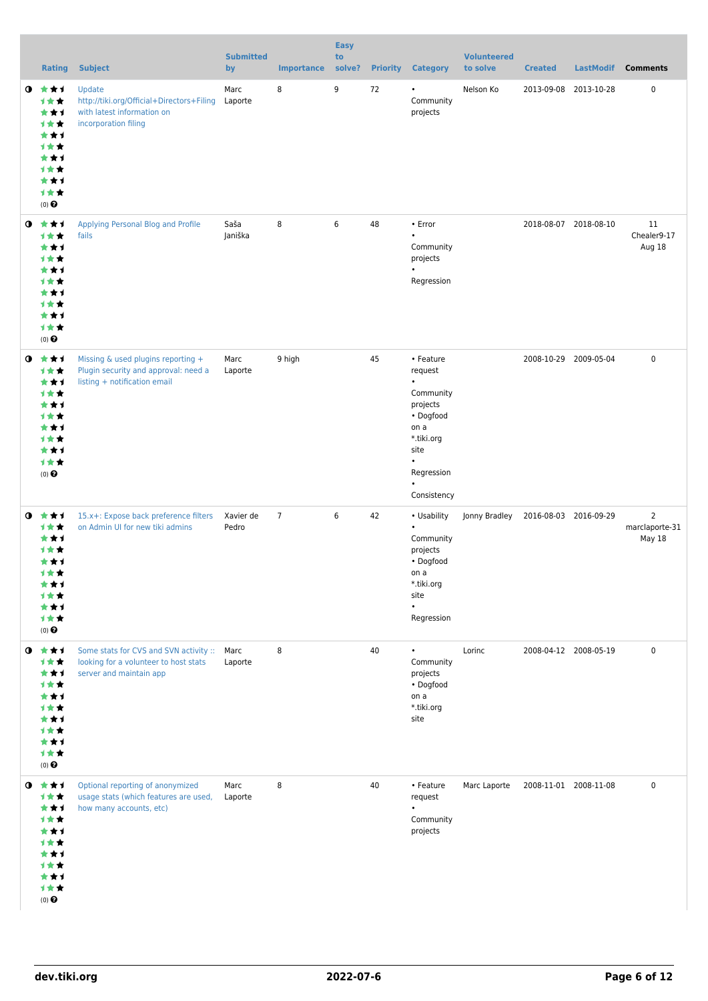|           | <b>Rating</b>                                                                                          | <b>Subject</b>                                                                                                  | <b>Submitted</b><br>by | <b>Importance</b> | <b>Easy</b><br>to<br>solve? |    | <b>Priority Category</b>                                                                                                                        | <b>Volunteered</b><br>to solve | <b>Created</b>        | <b>LastModif</b>      | <b>Comments</b>                            |
|-----------|--------------------------------------------------------------------------------------------------------|-----------------------------------------------------------------------------------------------------------------|------------------------|-------------------|-----------------------------|----|-------------------------------------------------------------------------------------------------------------------------------------------------|--------------------------------|-----------------------|-----------------------|--------------------------------------------|
| $\bullet$ | 大大士<br>计女女<br>***<br>计女女<br>***<br>计女女<br>***<br>计女女<br>***<br>计女女<br>$(0)$ $\odot$                    | Update<br>http://tiki.org/Official+Directors+Filing<br>with latest information on<br>incorporation filing       | Marc<br>Laporte        | 8                 | 9                           | 72 | $\bullet$<br>Community<br>projects                                                                                                              | Nelson Ko                      |                       | 2013-09-08 2013-10-28 | 0                                          |
| $\bullet$ | ***<br>计女女<br>***<br>1**<br>***<br>1 * *<br>***<br>计女女<br>***<br>计女女<br>$(0)$ $\odot$                  | Applying Personal Blog and Profile<br>fails                                                                     | Saša<br>Janiška        | 8                 | 6                           | 48 | • Error<br>$\bullet$<br>Community<br>projects<br>$\bullet$<br>Regression                                                                        |                                |                       | 2018-08-07 2018-08-10 | 11<br>Chealer9-17<br>Aug 18                |
| $\bullet$ | ***<br>计女女<br>***<br>计女女<br>***<br>计女女<br>***<br>计女女<br>***<br>计女女<br>$(0)$ $\odot$                    | Missing & used plugins reporting +<br>Plugin security and approval: need a<br>listing + notification email      | Marc<br>Laporte        | 9 high            |                             | 45 | • Feature<br>request<br>$\bullet$<br>Community<br>projects<br>• Dogfood<br>on a<br>*.tiki.org<br>site<br>$\bullet$<br>Regression<br>Consistency |                                |                       | 2008-10-29 2009-05-04 | $\mathbf 0$                                |
| $\bullet$ | ***<br>1**<br>***<br><b>1★★</b><br>***<br>计文文<br>***<br><b>1★★</b><br>***<br>计女女<br>$(0)$ $\odot$      | 15.x+: Expose back preference filters<br>on Admin UI for new tiki admins                                        | Xavier de<br>Pedro     | $\overline{7}$    | 6                           | 42 | • Usability<br>$\bullet$<br>Community<br>projects<br>• Dogfood<br>on a<br>*.tiki.org<br>site<br>$\bullet$<br>Regression                         | Jonny Bradley                  | 2016-08-03 2016-09-29 |                       | $\overline{2}$<br>marclaporte-31<br>May 18 |
| $\bullet$ | 大女子<br>计女女<br>***<br>计女女<br>***<br>1★★<br>***<br>计女女<br>***<br>计女女<br>$(0)$ $\Theta$                   | Some stats for CVS and SVN activity :: Marc<br>looking for a volunteer to host stats<br>server and maintain app | Laporte                | 8                 |                             | 40 | $\bullet$<br>Community<br>projects<br>• Dogfood<br>on a<br>*.tiki.org<br>site                                                                   | Lorinc                         |                       | 2008-04-12 2008-05-19 | $\mathbf 0$                                |
|           | $0$ $\star\star\star$<br>计女女<br>***<br>计女女<br>***<br>计女女<br>***<br>计女女<br>***<br>计女女<br>$(0)$ $\Theta$ | Optional reporting of anonymized<br>usage stats (which features are used,<br>how many accounts, etc)            | Marc<br>Laporte        | 8                 |                             | 40 | • Feature<br>request<br>$\bullet$<br>Community<br>projects                                                                                      | Marc Laporte                   |                       | 2008-11-01 2008-11-08 | $\mathbf 0$                                |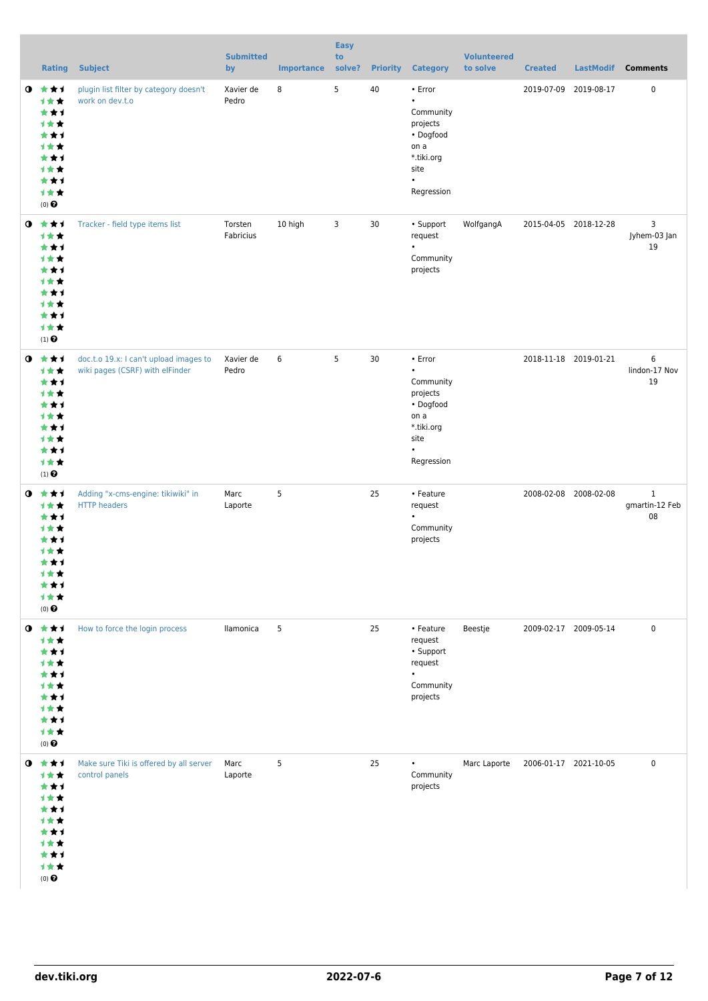|           | <b>Rating</b>                                                                                    | <b>Subject</b>                                                            | <b>Submitted</b><br>by | <b>Importance</b> | <b>Easy</b><br>to<br>solve? |    | <b>Priority Category</b>                                                                                                  | <b>Volunteered</b><br>to solve | <b>Created</b>        | <b>LastModif</b> | <b>Comments</b>                      |
|-----------|--------------------------------------------------------------------------------------------------|---------------------------------------------------------------------------|------------------------|-------------------|-----------------------------|----|---------------------------------------------------------------------------------------------------------------------------|--------------------------------|-----------------------|------------------|--------------------------------------|
| $\bullet$ | 大大才<br>1★★<br>***<br>计女女<br>***<br>计女女<br>***<br>计女女<br>***<br>计女女<br>$(0)$ $\Theta$             | plugin list filter by category doesn't<br>work on dev.t.o                 | Xavier de<br>Pedro     | 8                 | 5                           | 40 | • Error<br>$\bullet$<br>Community<br>projects<br>• Dogfood<br>on a<br>*.tiki.org<br>site<br>$\bullet$<br>Regression       |                                | 2019-07-09 2019-08-17 |                  | $\mathbf 0$                          |
| $\bullet$ | ***<br>计女女<br>***<br>计女女<br>***<br>1★★<br>***<br>计女女<br>***<br>计女女<br>$(1)$ $\odot$              | Tracker - field type items list                                           | Torsten<br>Fabricius   | 10 high           | 3                           | 30 | • Support<br>request<br>$\bullet$<br>Community<br>projects                                                                | WolfgangA                      | 2015-04-05 2018-12-28 |                  | 3<br>Jyhem-03 Jan<br>19              |
| $\bullet$ | ***<br>计女女<br>***<br>计女女<br>***<br>计女女<br>***<br>计女女<br>***<br>计女女<br>$(1)$ $\odot$              | doc.t.o 19.x: I can't upload images to<br>wiki pages (CSRF) with elFinder | Xavier de<br>Pedro     | 6                 | 5                           | 30 | $\cdot$ Error<br>$\bullet$<br>Community<br>projects<br>• Dogfood<br>on a<br>*.tiki.org<br>site<br>$\bullet$<br>Regression |                                | 2018-11-18 2019-01-21 |                  | 6<br>lindon-17 Nov<br>19             |
| $\bullet$ | ***<br>计女女<br>***<br>计女女<br>***<br><b>1 ★ ★</b><br>***<br>计女女<br>***<br>计女女<br>$(0)$ $\Theta$    | Adding "x-cms-engine: tikiwiki" in<br><b>HTTP</b> headers                 | Marc<br>Laporte        | 5                 |                             | 25 | • Feature<br>request<br>$\bullet$<br>Community<br>projects                                                                |                                | 2008-02-08 2008-02-08 |                  | $\mathbf{1}$<br>gmartin-12 Feb<br>08 |
|           | $0$ $*$ $*$ $*$<br>计女女<br>***<br>计女女<br>***<br>计女女<br>***<br>计女女<br>***<br>1女女<br>$(0)$ $\Theta$ | How to force the login process                                            | llamonica              | 5                 |                             | 25 | • Feature<br>request<br>• Support<br>request<br>$\bullet$<br>Community<br>projects                                        | Beestje                        | 2009-02-17 2009-05-14 |                  | 0                                    |
| $\bullet$ | 大女子<br>计女女<br>***<br>***<br>***<br>计女女<br>***<br>计女女<br>***<br>计女女<br>$(0)$ $\Theta$             | Make sure Tiki is offered by all server<br>control panels                 | Marc<br>Laporte        | 5                 |                             | 25 | $\bullet$<br>Community<br>projects                                                                                        | Marc Laporte                   | 2006-01-17 2021-10-05 |                  | $\mathbf 0$                          |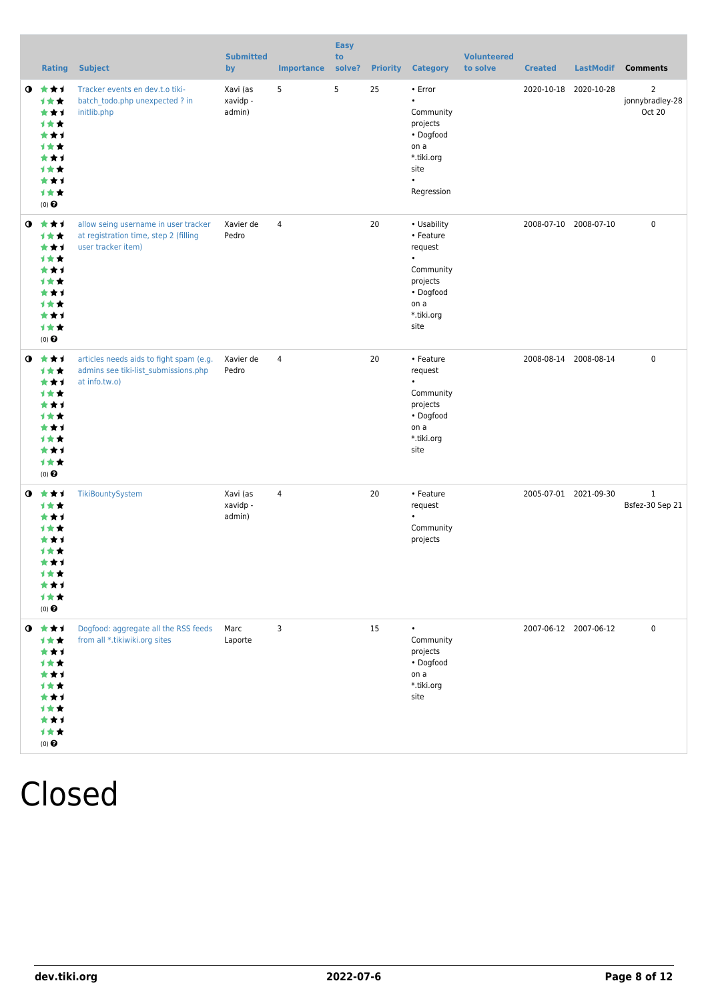|           | <b>Rating</b>                                                                                                | <b>Subject</b>                                                                                      | <b>Submitted</b><br>by         | <b>Importance</b> | <b>Easy</b><br>to<br>solve? | <b>Priority</b> | <b>Category</b>                                                                                                      | <b>Volunteered</b><br>to solve | <b>Created</b> | <b>LastModif</b>      | <b>Comments</b>                 |
|-----------|--------------------------------------------------------------------------------------------------------------|-----------------------------------------------------------------------------------------------------|--------------------------------|-------------------|-----------------------------|-----------------|----------------------------------------------------------------------------------------------------------------------|--------------------------------|----------------|-----------------------|---------------------------------|
|           | $0 \star \star \star$<br>计女女<br>***<br>计女女<br>***<br>1★★<br>***<br>计女女<br>***<br>1★★<br>$(0)$ $\Theta$       | Tracker events en dev.t.o tiki-<br>batch todo.php unexpected ? in<br>initlib.php                    | Xavi (as<br>xavidp -<br>admin) | 5                 | 5                           | 25              | • Error<br>Community<br>projects<br>• Dogfood<br>on a<br>*.tiki.org<br>site<br>$\bullet$<br>Regression               |                                |                | 2020-10-18 2020-10-28 | 2<br>jonnybradley-28<br>Oct 20  |
|           | $0 \star \star \star$<br>计女女<br>***<br>***<br>***<br><b>1**</b><br>***<br>计女女<br>***<br>计女女<br>$(0)$ $\odot$ | allow seing username in user tracker<br>at registration time, step 2 (filling<br>user tracker item) | Xavier de<br>Pedro             | $\overline{4}$    |                             | 20              | • Usability<br>• Feature<br>request<br>$\bullet$<br>Community<br>projects<br>• Dogfood<br>on a<br>*.tiki.org<br>site |                                |                | 2008-07-10 2008-07-10 | $\mathbf 0$                     |
| $\bullet$ | ***<br>1★★<br>***<br><b>1**</b><br>***<br>计女女<br>***<br>计女女<br>***<br>计女女<br>$(0)$ $\odot$                   | articles needs aids to fight spam (e.g.<br>admins see tiki-list_submissions.php<br>at info.tw.o)    | Xavier de<br>Pedro             | 4                 |                             | 20              | • Feature<br>request<br>$\bullet$<br>Community<br>projects<br>• Dogfood<br>on a<br>*.tiki.org<br>site                |                                |                | 2008-08-14 2008-08-14 | 0                               |
|           | $0 \star \star \star$<br>计女女<br>***<br>1 * *<br>***<br>1 * *<br>***<br>才女女<br>***<br>计女女<br>$(0)$ $\odot$    | TikiBountySystem                                                                                    | Xavi (as<br>xavidp -<br>admin) | $\overline{4}$    |                             | 20              | • Feature<br>request<br>$\bullet$<br>Community<br>projects                                                           |                                |                | 2005-07-01 2021-09-30 | $\mathbf{1}$<br>Bsfez-30 Sep 21 |
|           | $0$ $*$ $*$ $*$<br>计女女<br>***<br>计女女<br>***<br>1★★<br>***<br>1★★<br>***<br>计女女<br>$(0)$ $\Theta$             | Dogfood: aggregate all the RSS feeds<br>from all *.tikiwiki.org sites                               | Marc<br>Laporte                | 3                 |                             | 15              | $\bullet$<br>Community<br>projects<br>• Dogfood<br>on a<br>*.tiki.org<br>site                                        |                                |                | 2007-06-12 2007-06-12 | 0                               |

## Closed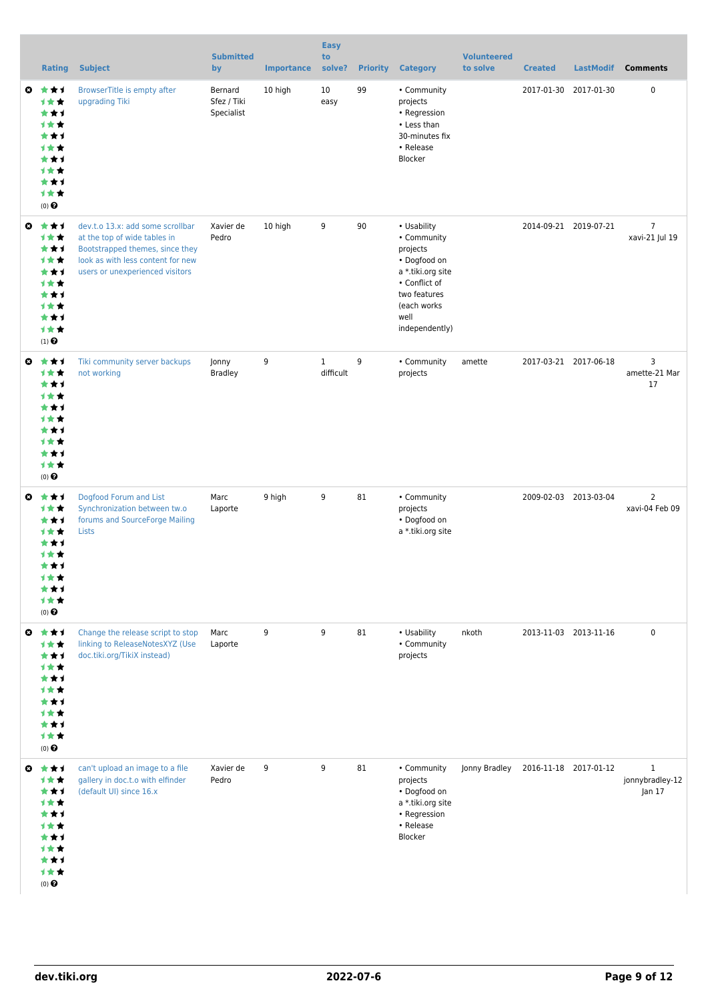|                       | <b>Rating</b>                                                                                            | <b>Subject</b>                                                                                                                                                              | <b>Submitted</b><br>by               | <b>Importance</b> | <b>Easy</b><br>to<br>solve? | <b>Priority</b> | <b>Category</b>                                                                                                                                       | <b>Volunteered</b><br>to solve | <b>Created</b> | <b>LastModif</b>      | <b>Comments</b>                           |
|-----------------------|----------------------------------------------------------------------------------------------------------|-----------------------------------------------------------------------------------------------------------------------------------------------------------------------------|--------------------------------------|-------------------|-----------------------------|-----------------|-------------------------------------------------------------------------------------------------------------------------------------------------------|--------------------------------|----------------|-----------------------|-------------------------------------------|
| ◎                     | ***<br>计女女<br>***<br><b>1★★</b><br>***<br><b>1★★</b><br>***<br><b>1★★</b><br>***<br>计女女<br>$(0)$ $\odot$ | BrowserTitle is empty after<br>upgrading Tiki                                                                                                                               | Bernard<br>Sfez / Tiki<br>Specialist | 10 high           | 10<br>easy                  | 99              | • Community<br>projects<br>• Regression<br>• Less than<br>30-minutes fix<br>• Release<br>Blocker                                                      |                                |                | 2017-01-30 2017-01-30 | 0                                         |
| ◒                     | ***<br>计女女<br>***<br>计女女<br>***<br>计女女<br>***<br>计女女<br>***<br>计女女<br>$(1)$ $\odot$                      | dev.t.o 13.x: add some scrollbar<br>at the top of wide tables in<br>Bootstrapped themes, since they<br>look as with less content for new<br>users or unexperienced visitors | Xavier de<br>Pedro                   | 10 high           | 9                           | 90              | • Usability<br>• Community<br>projects<br>• Dogfood on<br>a *.tiki.org site<br>• Conflict of<br>two features<br>(each works<br>well<br>independently) |                                |                | 2014-09-21 2019-07-21 | $\overline{7}$<br>xavi-21 Jul 19          |
| $\boldsymbol{\omega}$ | ***<br>1★★<br>***<br>计女女<br>***<br>计女女<br>***<br>计女女<br>***<br>计女女<br>$(0)$ $\odot$                      | Tiki community server backups<br>not working                                                                                                                                | Jonny<br><b>Bradley</b>              | 9                 | $\mathbf{1}$<br>difficult   | 9               | • Community<br>projects                                                                                                                               | amette                         |                | 2017-03-21 2017-06-18 | 3<br>amette-21 Mar<br>17                  |
| O                     | ***<br>计女女<br>***<br><b>1**</b><br>***<br>计女女<br>***<br>计女女<br>***<br>计女女<br>$(0)$ $\odot$               | Dogfood Forum and List<br>Synchronization between tw.o<br>forums and SourceForge Mailing<br>Lists                                                                           | Marc<br>Laporte                      | 9 high            | 9                           | 81              | • Community<br>projects<br>• Dogfood on<br>a *.tiki.org site                                                                                          |                                |                | 2009-02-03 2013-03-04 | $\overline{2}$<br>xavi-04 Feb 09          |
|                       | ◎ ★★1<br>计女女<br>***<br>计女女<br>***<br>计女女<br>***<br>计女女<br>***<br>1★★<br>$(0)$ $\pmb{\Theta}$             | Change the release script to stop<br>linking to ReleaseNotesXYZ (Use<br>doc.tiki.org/TikiX instead)                                                                         | Marc<br>Laporte                      | 9                 | 9                           | 81              | • Usability<br>• Community<br>projects                                                                                                                | nkoth                          |                | 2013-11-03 2013-11-16 | $\pmb{0}$                                 |
|                       | $0$ $\star\star\star$<br>计女女<br>***<br>计女女<br>***<br>计女女<br>***<br>1★★<br>***<br>计女女<br>$(0)$ $\odot$    | can't upload an image to a file<br>gallery in doc.t.o with elfinder<br>(default UI) since 16.x                                                                              | Xavier de<br>Pedro                   | 9                 | 9                           | 81              | • Community<br>projects<br>• Dogfood on<br>a *.tiki.org site<br>• Regression<br>• Release<br>Blocker                                                  | Jonny Bradley                  |                | 2016-11-18 2017-01-12 | $\mathbf{1}$<br>jonnybradley-12<br>Jan 17 |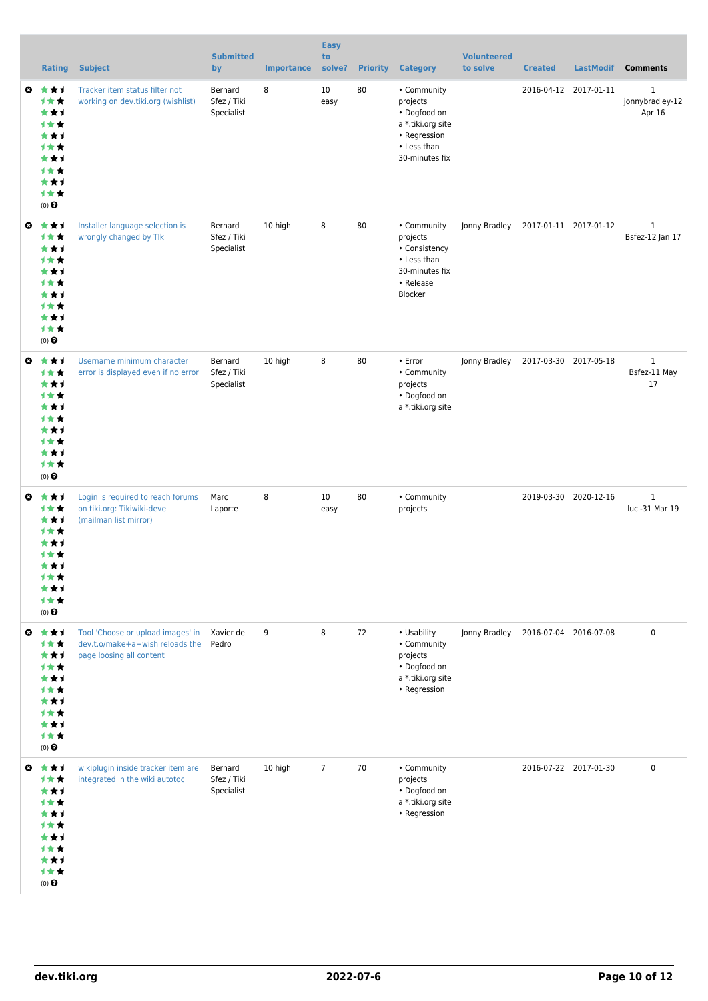|   | <b>Rating</b>                                                                         | <b>Subject</b>                                                                                   | <b>Submitted</b><br>by               | <b>Importance</b> | <b>Easy</b><br>to<br>solve? | <b>Priority</b> | <b>Category</b>                                                                                               | <b>Volunteered</b><br>to solve | <b>Created</b>        | <b>LastModif</b>      | <b>Comments</b>                           |
|---|---------------------------------------------------------------------------------------|--------------------------------------------------------------------------------------------------|--------------------------------------|-------------------|-----------------------------|-----------------|---------------------------------------------------------------------------------------------------------------|--------------------------------|-----------------------|-----------------------|-------------------------------------------|
| O | 大大才<br>计女女<br>***<br>1★★<br>***<br>计女女<br>***<br>计女女<br>***<br>1★★<br>(0)             | Tracker item status filter not<br>working on dev.tiki.org (wishlist)                             | Bernard<br>Sfez / Tiki<br>Specialist | 8                 | 10<br>easy                  | 80              | • Community<br>projects<br>• Dogfood on<br>a *.tiki.org site<br>• Regression<br>• Less than<br>30-minutes fix |                                |                       | 2016-04-12 2017-01-11 | $\mathbf{1}$<br>jonnybradley-12<br>Apr 16 |
| O | ***<br>计女女<br>***<br>计女女<br>***<br>计女女<br>***<br>计女女<br>***<br>1★★<br>(0)             | Installer language selection is<br>wrongly changed by Tlki                                       | Bernard<br>Sfez / Tiki<br>Specialist | 10 high           | 8                           | 80              | • Community<br>projects<br>• Consistency<br>• Less than<br>30-minutes fix<br>• Release<br>Blocker             | Jonny Bradley                  | 2017-01-11 2017-01-12 |                       | $\mathbf{1}$<br>Bsfez-12 Jan 17           |
| O | ***<br>计女女<br>***<br>1★★<br>***<br>计女女<br>***<br>计女女<br>***<br>计女女<br>$(0)$ $\odot$   | Username minimum character<br>error is displayed even if no error                                | Bernard<br>Sfez / Tiki<br>Specialist | 10 high           | 8                           | 80              | • Error<br>• Community<br>projects<br>• Dogfood on<br>a *.tiki.org site                                       | Jonny Bradley                  | 2017-03-30 2017-05-18 |                       | $\mathbf{1}$<br>Bsfez-11 May<br>17        |
| O | ***<br>计女女<br>***<br>计女女<br>***<br>计女女<br>***<br>计女女<br>***<br>计女女<br>$(0)$ $\odot$   | Login is required to reach forums<br>on tiki.org: Tikiwiki-devel<br>(mailman list mirror)        | Marc<br>Laporte                      | 8                 | 10<br>easy                  | 80              | • Community<br>projects                                                                                       |                                |                       | 2019-03-30 2020-12-16 | $\mathbf{1}$<br>luci-31 Mar 19            |
| ◒ | ***<br>计女女<br>***<br>计女女<br>***<br>计女女<br>***<br>计女女<br>***<br>计女女<br>$(0)$ $\odot$   | Tool 'Choose or upload images' in<br>dev.t.o/make+a+wish reloads the<br>page loosing all content | Xavier de<br>Pedro                   | 9                 | 8                           | 72              | • Usability<br>• Community<br>projects<br>• Dogfood on<br>a *.tiki.org site<br>• Regression                   | Jonny Bradley                  |                       | 2016-07-04 2016-07-08 | $\mathbf 0$                               |
|   | ◎ ★★1<br>计女女<br>***<br>计女女<br>***<br>计女女<br>***<br>计女女<br>***<br>计女女<br>$(0)$ $\odot$ | wikiplugin inside tracker item are<br>integrated in the wiki autotoc                             | Bernard<br>Sfez / Tiki<br>Specialist | 10 high           | $\overline{7}$              | 70              | • Community<br>projects<br>• Dogfood on<br>a *.tiki.org site<br>• Regression                                  |                                |                       | 2016-07-22 2017-01-30 | $\mathbf 0$                               |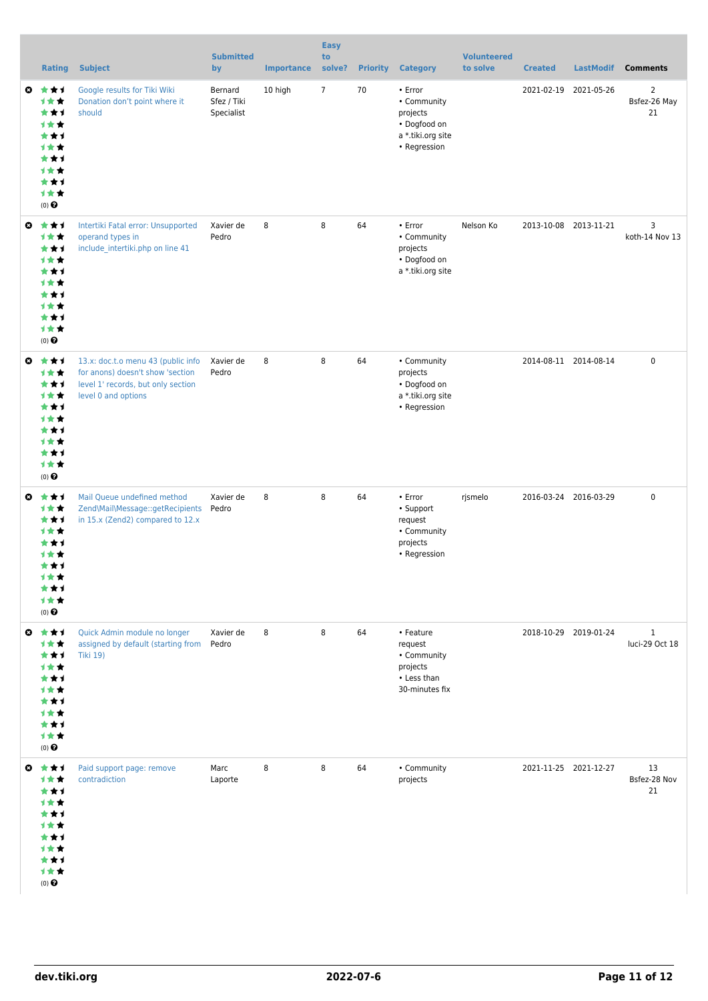|                       | <b>Rating</b>                                                                              | <b>Subject</b>                                                                                                                      | <b>Submitted</b><br>by               | <b>Importance</b> | <b>Easy</b><br>to<br>solve? | <b>Priority</b> | <b>Category</b>                                                                         | <b>Volunteered</b><br>to solve | <b>Created</b> | <b>LastModif</b>      | <b>Comments</b>                      |
|-----------------------|--------------------------------------------------------------------------------------------|-------------------------------------------------------------------------------------------------------------------------------------|--------------------------------------|-------------------|-----------------------------|-----------------|-----------------------------------------------------------------------------------------|--------------------------------|----------------|-----------------------|--------------------------------------|
| $\boldsymbol{\omega}$ | ***<br>计女女<br>***<br>1★★<br>***<br>1★★<br>***<br>计女女<br>***<br>1★★<br>$(0)$ $\odot$        | Google results for Tiki Wiki<br>Donation don't point where it<br>should                                                             | Bernard<br>Sfez / Tiki<br>Specialist | 10 high           | $\overline{7}$              | 70              | • Error<br>• Community<br>projects<br>• Dogfood on<br>a *.tiki.org site<br>• Regression |                                |                | 2021-02-19 2021-05-26 | $\overline{2}$<br>Bsfez-26 May<br>21 |
| $\bullet$             | ***<br>计女女<br>***<br>计女女<br>***<br>1★★<br>***<br>计女女<br>***<br>1★★<br>(0)                  | Intertiki Fatal error: Unsupported<br>operand types in<br>include intertiki.php on line 41                                          | Xavier de<br>Pedro                   | 8                 | 8                           | 64              | • Error<br>• Community<br>projects<br>• Dogfood on<br>a *.tiki.org site                 | Nelson Ko                      |                | 2013-10-08 2013-11-21 | 3<br>koth-14 Nov 13                  |
| O                     | 大大才<br>计女女<br>***<br>计女女<br>***<br>1★★<br>***<br>计女女<br>***<br>1★★<br>$(0)$ $\odot$        | 13.x: doc.t.o menu 43 (public info<br>for anons) doesn't show 'section<br>level 1' records, but only section<br>level 0 and options | Xavier de<br>Pedro                   | 8                 | 8                           | 64              | • Community<br>projects<br>• Dogfood on<br>a *.tiki.org site<br>• Regression            |                                |                | 2014-08-11 2014-08-14 | $\pmb{0}$                            |
| $\mathbf{c}$          | ***<br>计女女<br>***<br>计女女<br>***<br>才女女<br>***<br><b>1**</b><br><b>1**</b><br>(0)           | Mail Queue undefined method<br>Zend\Mail\Message::getRecipients<br>in 15.x (Zend2) compared to 12.x                                 | Xavier de<br>Pedro                   | 8                 | 8                           | 64              | • Error<br>• Support<br>request<br>• Community<br>projects<br>• Regression              | rjsmelo                        |                | 2016-03-24 2016-03-29 | $\pmb{0}$                            |
| $\bullet$             | 大女子<br>计女女<br>***<br>计女女<br>***<br>计女女<br>***<br>计女女<br>***<br>1★★<br>(0)                  | Quick Admin module no longer<br>assigned by default (starting from<br><b>Tiki 19)</b>                                               | Xavier de<br>Pedro                   | 8                 | 8                           | 64              | • Feature<br>request<br>• Community<br>projects<br>• Less than<br>30-minutes fix        |                                |                | 2018-10-29 2019-01-24 | $\mathbf{1}$<br>luci-29 Oct 18       |
| O                     | 大女子<br>计女女<br>***<br>计女女<br>***<br><b>1★★</b><br>***<br>计女女<br>***<br>1★★<br>$(0)$ $\odot$ | Paid support page: remove<br>contradiction                                                                                          | Marc<br>Laporte                      | 8                 | 8                           | 64              | • Community<br>projects                                                                 |                                |                | 2021-11-25 2021-12-27 | 13<br>Bsfez-28 Nov<br>21             |